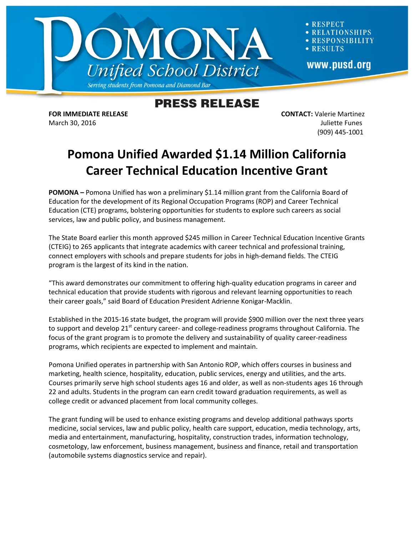

**RESPECT ATIONSHIPS** RESPONSIBILITY **RESULTS** www.pusd.org

## **PRESS RELEASE**

**FOR IMMEDIATE RELEASE CONTACT:** Valerie Martinez March 30, 2016 **Juliette Funes** (909) 445-1001

## **Pomona Unified Awarded \$1.14 Million California Career Technical Education Incentive Grant**

**POMONA –** Pomona Unified has won a preliminary \$1.14 million grant from the California Board of Education for the development of its Regional Occupation Programs (ROP) and Career Technical Education (CTE) programs, bolstering opportunities for students to explore such careers as social services, law and public policy, and business management.

The State Board earlier this month approved \$245 million in Career Technical Education Incentive Grants (CTEIG) to 265 applicants that integrate academics with career technical and professional training, connect employers with schools and prepare students for jobs in high-demand fields. The CTEIG program is the largest of its kind in the nation.

"This award demonstrates our commitment to offering high-quality education programs in career and technical education that provide students with rigorous and relevant learning opportunities to reach their career goals," said Board of Education President Adrienne Konigar-Macklin.

Established in the 2015-16 state budget, the program will provide \$900 million over the next three years to support and develop 21<sup>st</sup> century career- and college-readiness programs throughout California. The focus of the grant program is to promote the delivery and sustainability of quality career-readiness programs, which recipients are expected to implement and maintain.

Pomona Unified operates in partnership with San Antonio ROP, which offers courses in business and marketing, health science, hospitality, education, public services, energy and utilities, and the arts. Courses primarily serve high school students ages 16 and older, as well as non-students ages 16 through 22 and adults. Students in the program can earn credit toward graduation requirements, as well as college credit or advanced placement from local community colleges.

The grant funding will be used to enhance existing programs and develop additional pathways sports medicine, social services, law and public policy, health care support, education, media technology, arts, media and entertainment, manufacturing, hospitality, construction trades, information technology, cosmetology, law enforcement, business management, business and finance, retail and transportation (automobile systems diagnostics service and repair).